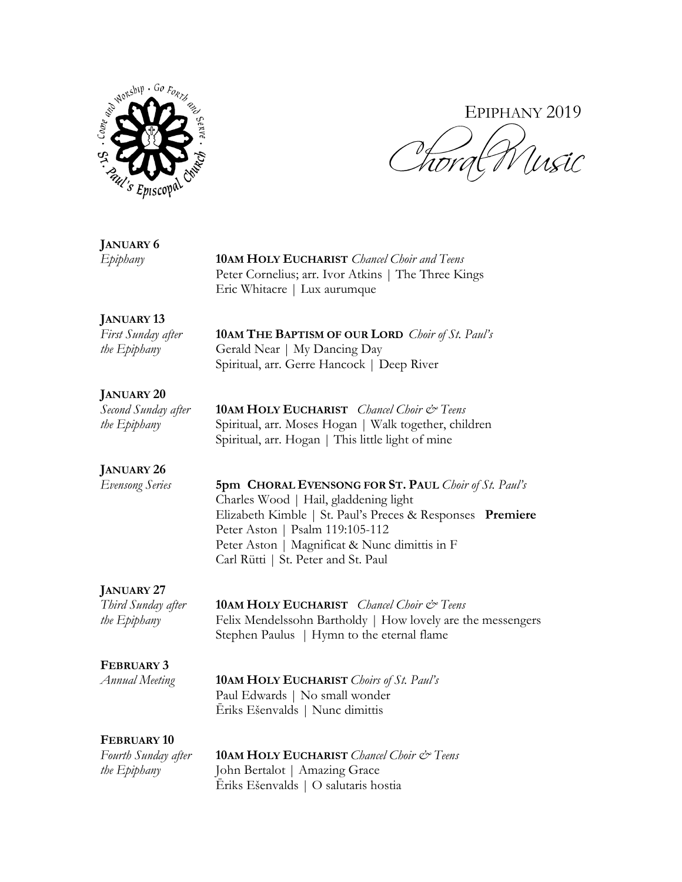

# EPIPHANY 2019

## **JANUARY 6**

*Epiphany* **10AM HOLY EUCHARIST** *Chancel Choir and Teens* Peter Cornelius; arr. Ivor Atkins | The Three Kings Eric Whitacre | Lux aurumque

## **JANUARY 13**

*First Sunday after* **10AM THE BAPTISM OF OUR LORD** *Choir of St. Paul's the Epiphany* **Gerald Near | My Dancing Day** Spiritual, arr. Gerre Hancock | Deep River

## **JANUARY 20**

*Second Sunday after* **10AM HOLY EUCHARIST** *Chancel Choir & Teens the Epiphany* Spiritual, arr. Moses Hogan | Walk together, children Spiritual, arr. Hogan | This little light of mine

## **JANUARY 26**

*Evensong Series* **5pm CHORAL EVENSONG FOR ST. PAUL** *Choir of St. Paul's* Charles Wood | Hail, gladdening light Elizabeth Kimble | St. Paul's Preces & Responses **Premiere** Peter Aston | Psalm 119:105-112 Peter Aston | Magnificat & Nunc dimittis in F Carl Rütti | St. Peter and St. Paul

## **JANUARY 27**

*Third Sunday after* **10AM HOLY EUCHARIST** *Chancel Choir & Teens the Epiphany* Felix Mendelssohn Bartholdy | How lovely are the messengers Stephen Paulus | Hymn to the eternal flame

## **FEBRUARY 3**

*Annual Meeting* **10AM HOLY EUCHARIST** *Choirs of St. Paul's* Paul Edwards | No small wonder Ēriks Ešenvalds | Nunc dimittis

## **FEBRUARY 10**

*Fourth Sunday after* **10AM HOLY EUCHARIST** *Chancel Choir & Teens the Epiphany* John Bertalot | Amazing Grace Ēriks Ešenvalds | O salutaris hostia